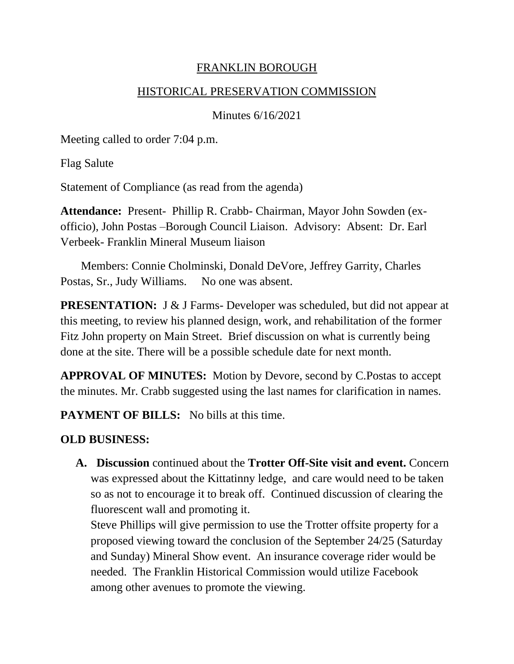## FRANKLIN BOROUGH

## HISTORICAL PRESERVATION COMMISSION

Minutes 6/16/2021

Meeting called to order 7:04 p.m.

Flag Salute

Statement of Compliance (as read from the agenda)

**Attendance:** Present- Phillip R. Crabb- Chairman, Mayor John Sowden (exofficio), John Postas –Borough Council Liaison. Advisory: Absent: Dr. Earl Verbeek- Franklin Mineral Museum liaison

 Members: Connie Cholminski, Donald DeVore, Jeffrey Garrity, Charles Postas, Sr., Judy Williams. No one was absent.

**PRESENTATION:** J & J Farms- Developer was scheduled, but did not appear at this meeting, to review his planned design, work, and rehabilitation of the former Fitz John property on Main Street. Brief discussion on what is currently being done at the site. There will be a possible schedule date for next month.

**APPROVAL OF MINUTES:** Motion by Devore, second by C.Postas to accept the minutes. Mr. Crabb suggested using the last names for clarification in names.

**PAYMENT OF BILLS:** No bills at this time.

# **OLD BUSINESS:**

**A. Discussion** continued about the **Trotter Off-Site visit and event.** Concern was expressed about the Kittatinny ledge, and care would need to be taken so as not to encourage it to break off. Continued discussion of clearing the fluorescent wall and promoting it.

Steve Phillips will give permission to use the Trotter offsite property for a proposed viewing toward the conclusion of the September 24/25 (Saturday and Sunday) Mineral Show event. An insurance coverage rider would be needed. The Franklin Historical Commission would utilize Facebook among other avenues to promote the viewing.